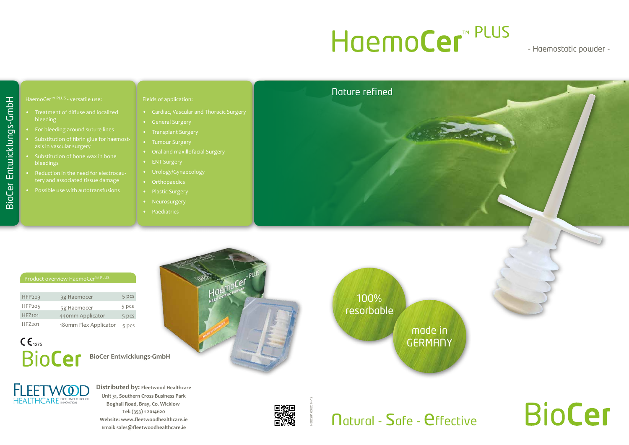# HoemoCer<sup>™ PLUS</sup>

**BioCer Entwicklungs-GmbH**



**Distributed by: Fleetwood Healthcare Unit 31, Southern Cross Business Park Boghall Road, Bray, Co. Wicklow Tel: (353) 1 2014620 Website: www.fleetwoodhealthcare.ie Email: sales@fleetwoodhealthcare.ie**



.cel

made in **GERMANY** 

**Natural - Safe - effective** 

HDD201.03/2014-12

### - Haemostatic powder -

# **BioCer**



#### Product overview HaemoCer<sup>™ PLUS</sup>

#### HaemoCer™ PLUS - versatile use:

- Treatment of diffuse and localized **bleeding**
- For bleeding around suture lines
- Substitution of fibrin glue for haemostasis in vascular surgery
- Substitution of bone wax in bone bleedings
- Reduction in the need for electrocautery and associated tissue damage
- Possible use with autotransfusions

| HFP <sub>203</sub> | 3g Haemocer           | 5 pcs |
|--------------------|-----------------------|-------|
| <b>HFP205</b>      | 5g Haemocer           | 5 pcs |
| HFZ <sub>101</sub> | 440mm Applicator      | 5 pcs |
| HFZ201             | 180mm Flex Applicator | 5 pcs |

# $C \epsilon_{1275}$ **BioCer**

#### Fields of application:

- Cardiac, Vascular and Thoracic Surgery
- General Surgery
- Transplant Surgery
- Tumour Surgery
- Oral and maxillofacial Surgery
- ENT Surgery
- Urology/Gynaecology
- Orthopaedics
- Plastic Surgery
- Neurosurgery
- Paediatrics